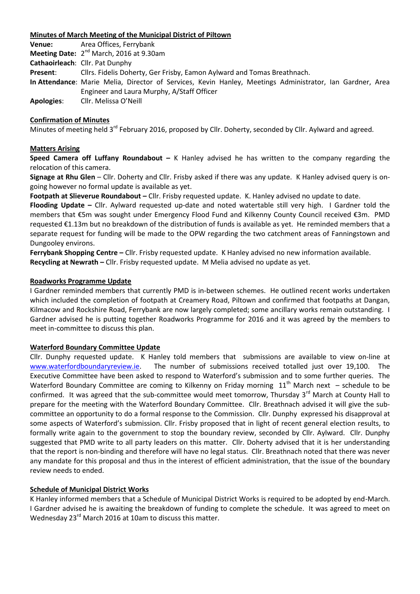## **Minutes of March Meeting of the Municipal District of Piltown**

**Venue:** Area Offices, Ferrybank **Meeting Date:** 2<sup>nd</sup> March, 2016 at 9.30am **Cathaoirleach**: Cllr. Pat Dunphy **Present**: Cllrs. Fidelis Doherty, Ger Frisby, Eamon Aylward and Tomas Breathnach. **In Attendance**: Marie Melia, Director of Services, Kevin Hanley, Meetings Administrator, Ian Gardner, Area Engineer and Laura Murphy, A/Staff Officer **Apologies**: Cllr. Melissa O'Neill

### **Confirmation of Minutes**

Minutes of meeting held 3<sup>rd</sup> February 2016, proposed by Cllr. Doherty, seconded by Cllr. Aylward and agreed.

### **Matters Arising**

**Speed Camera off Luffany Roundabout –** K Hanley advised he has written to the company regarding the relocation of this camera.

**Signage at Rhu Glen** – Cllr. Doherty and Cllr. Frisby asked if there was any update. K Hanley advised query is ongoing however no formal update is available as yet.

**Footpath at Slieverue Roundabout –** Cllr. Frisby requested update. K. Hanley advised no update to date.

**Flooding Update –** Cllr. Aylward requested up-date and noted watertable still very high. I Gardner told the members that €5m was sought under Emergency Flood Fund and Kilkenny County Council received €3m. PMD requested €1.13m but no breakdown of the distribution of funds is available as yet. He reminded members that a separate request for funding will be made to the OPW regarding the two catchment areas of Fanningstown and Dungooley environs.

**Ferrybank Shopping Centre –** Cllr. Frisby requested update. K Hanley advised no new information available. **Recycling at Newrath –** Cllr. Frisby requested update. M Melia advised no update as yet.

#### **Roadworks Programme Update**

I Gardner reminded members that currently PMD is in-between schemes. He outlined recent works undertaken which included the completion of footpath at Creamery Road, Piltown and confirmed that footpaths at Dangan, Kilmacow and Rockshire Road, Ferrybank are now largely completed; some ancillary works remain outstanding. I Gardner advised he is putting together Roadworks Programme for 2016 and it was agreed by the members to meet in-committee to discuss this plan.

### **Waterford Boundary Committee Update**

Cllr. Dunphy requested update. K Hanley told members that submissions are available to view on-line at [www.waterfordboundaryreview.ie.](http://www.waterfordboundaryreview.ie/) The number of submissions received totalled just over 19,100. The Executive Committee have been asked to respond to Waterford's submission and to some further queries. The Waterford Boundary Committee are coming to Kilkenny on Friday morning  $11<sup>th</sup>$  March next – schedule to be confirmed. It was agreed that the sub-committee would meet tomorrow, Thursday  $3<sup>rd</sup>$  March at County Hall to prepare for the meeting with the Waterford Boundary Committee. Cllr. Breathnach advised it will give the subcommittee an opportunity to do a formal response to the Commission. Cllr. Dunphy expressed his disapproval at some aspects of Waterford's submission. Cllr. Frisby proposed that in light of recent general election results, to formally write again to the government to stop the boundary review, seconded by Cllr. Aylward. Cllr. Dunphy suggested that PMD write to all party leaders on this matter. Cllr. Doherty advised that it is her understanding that the report is non-binding and therefore will have no legal status. Cllr. Breathnach noted that there was never any mandate for this proposal and thus in the interest of efficient administration, that the issue of the boundary review needs to ended.

### **Schedule of Municipal District Works**

K Hanley informed members that a Schedule of Municipal District Works is required to be adopted by end-March. I Gardner advised he is awaiting the breakdown of funding to complete the schedule. It was agreed to meet on Wednesday 23<sup>rd</sup> March 2016 at 10am to discuss this matter.